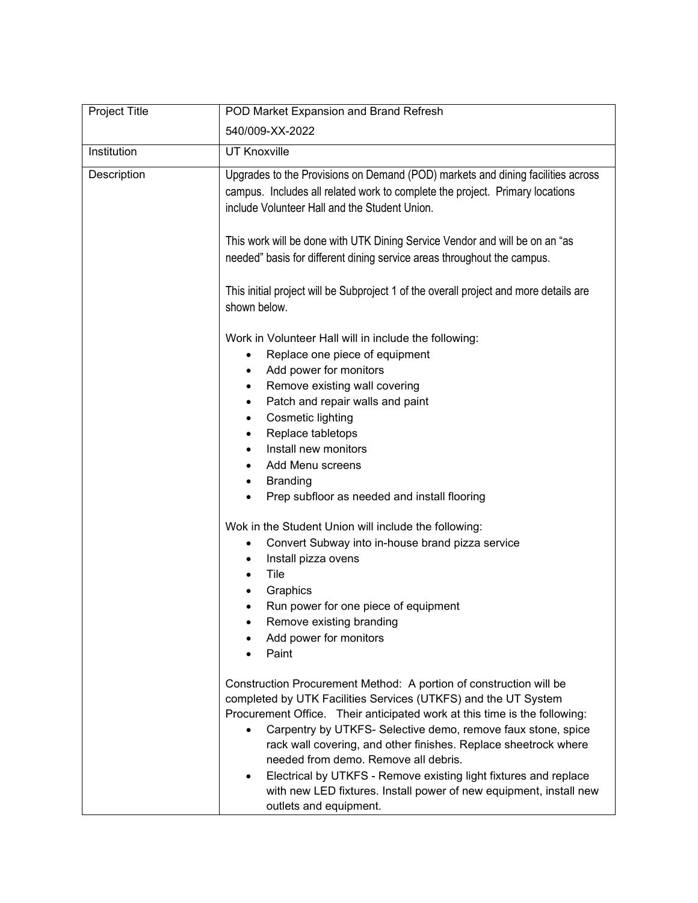| 540/009-XX-2022<br><b>UT Knoxville</b><br>Upgrades to the Provisions on Demand (POD) markets and dining facilities across<br>campus. Includes all related work to complete the project. Primary locations<br>include Volunteer Hall and the Student Union.                                                                                                                                                                                                                                                                                                                                 |
|--------------------------------------------------------------------------------------------------------------------------------------------------------------------------------------------------------------------------------------------------------------------------------------------------------------------------------------------------------------------------------------------------------------------------------------------------------------------------------------------------------------------------------------------------------------------------------------------|
|                                                                                                                                                                                                                                                                                                                                                                                                                                                                                                                                                                                            |
|                                                                                                                                                                                                                                                                                                                                                                                                                                                                                                                                                                                            |
|                                                                                                                                                                                                                                                                                                                                                                                                                                                                                                                                                                                            |
| This work will be done with UTK Dining Service Vendor and will be on an "as<br>needed" basis for different dining service areas throughout the campus.                                                                                                                                                                                                                                                                                                                                                                                                                                     |
| This initial project will be Subproject 1 of the overall project and more details are<br>shown below.                                                                                                                                                                                                                                                                                                                                                                                                                                                                                      |
| Work in Volunteer Hall will in include the following:                                                                                                                                                                                                                                                                                                                                                                                                                                                                                                                                      |
| Replace one piece of equipment                                                                                                                                                                                                                                                                                                                                                                                                                                                                                                                                                             |
| Add power for monitors                                                                                                                                                                                                                                                                                                                                                                                                                                                                                                                                                                     |
| Remove existing wall covering<br>٠                                                                                                                                                                                                                                                                                                                                                                                                                                                                                                                                                         |
| Patch and repair walls and paint<br>$\bullet$                                                                                                                                                                                                                                                                                                                                                                                                                                                                                                                                              |
| Cosmetic lighting<br>٠                                                                                                                                                                                                                                                                                                                                                                                                                                                                                                                                                                     |
| Replace tabletops<br>٠                                                                                                                                                                                                                                                                                                                                                                                                                                                                                                                                                                     |
| Install new monitors<br>$\bullet$                                                                                                                                                                                                                                                                                                                                                                                                                                                                                                                                                          |
| Add Menu screens                                                                                                                                                                                                                                                                                                                                                                                                                                                                                                                                                                           |
| <b>Branding</b>                                                                                                                                                                                                                                                                                                                                                                                                                                                                                                                                                                            |
| Prep subfloor as needed and install flooring                                                                                                                                                                                                                                                                                                                                                                                                                                                                                                                                               |
| Wok in the Student Union will include the following:                                                                                                                                                                                                                                                                                                                                                                                                                                                                                                                                       |
| Convert Subway into in-house brand pizza service<br>$\bullet$                                                                                                                                                                                                                                                                                                                                                                                                                                                                                                                              |
| Install pizza ovens<br>٠                                                                                                                                                                                                                                                                                                                                                                                                                                                                                                                                                                   |
| Tile                                                                                                                                                                                                                                                                                                                                                                                                                                                                                                                                                                                       |
| Graphics                                                                                                                                                                                                                                                                                                                                                                                                                                                                                                                                                                                   |
| Run power for one piece of equipment                                                                                                                                                                                                                                                                                                                                                                                                                                                                                                                                                       |
| Remove existing branding                                                                                                                                                                                                                                                                                                                                                                                                                                                                                                                                                                   |
| Add power for monitors                                                                                                                                                                                                                                                                                                                                                                                                                                                                                                                                                                     |
| Paint                                                                                                                                                                                                                                                                                                                                                                                                                                                                                                                                                                                      |
| Construction Procurement Method: A portion of construction will be<br>completed by UTK Facilities Services (UTKFS) and the UT System<br>Procurement Office. Their anticipated work at this time is the following:<br>Carpentry by UTKFS- Selective demo, remove faux stone, spice<br>$\bullet$<br>rack wall covering, and other finishes. Replace sheetrock where<br>needed from demo. Remove all debris.<br>Electrical by UTKFS - Remove existing light fixtures and replace<br>$\bullet$<br>with new LED fixtures. Install power of new equipment, install new<br>outlets and equipment. |
|                                                                                                                                                                                                                                                                                                                                                                                                                                                                                                                                                                                            |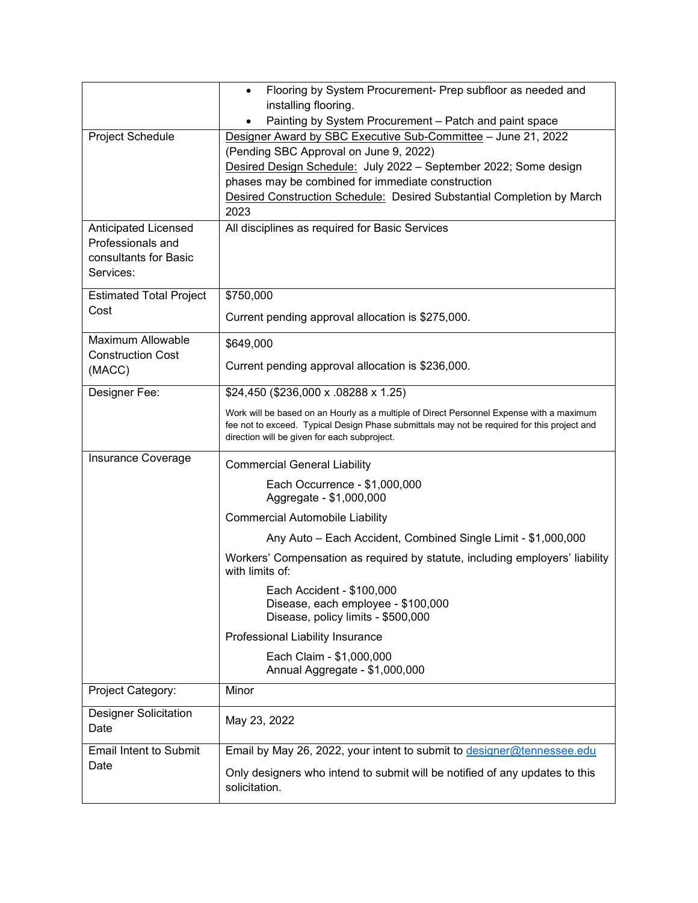|                                      | Flooring by System Procurement- Prep subfloor as needed and<br>$\bullet$                                                                                                                                                                |
|--------------------------------------|-----------------------------------------------------------------------------------------------------------------------------------------------------------------------------------------------------------------------------------------|
|                                      | installing flooring.                                                                                                                                                                                                                    |
|                                      | Painting by System Procurement - Patch and paint space                                                                                                                                                                                  |
| Project Schedule                     | Designer Award by SBC Executive Sub-Committee - June 21, 2022                                                                                                                                                                           |
|                                      | (Pending SBC Approval on June 9, 2022)                                                                                                                                                                                                  |
|                                      | Desired Design Schedule: July 2022 - September 2022; Some design                                                                                                                                                                        |
|                                      | phases may be combined for immediate construction                                                                                                                                                                                       |
|                                      | Desired Construction Schedule: Desired Substantial Completion by March                                                                                                                                                                  |
|                                      | 2023                                                                                                                                                                                                                                    |
| <b>Anticipated Licensed</b>          | All disciplines as required for Basic Services                                                                                                                                                                                          |
| Professionals and                    |                                                                                                                                                                                                                                         |
| consultants for Basic                |                                                                                                                                                                                                                                         |
| Services:                            |                                                                                                                                                                                                                                         |
| <b>Estimated Total Project</b>       | \$750,000                                                                                                                                                                                                                               |
| Cost                                 | Current pending approval allocation is \$275,000.                                                                                                                                                                                       |
| <b>Maximum Allowable</b>             | \$649,000                                                                                                                                                                                                                               |
| <b>Construction Cost</b><br>(MACC)   | Current pending approval allocation is \$236,000.                                                                                                                                                                                       |
| Designer Fee:                        | \$24,450 (\$236,000 x .08288 x 1.25)                                                                                                                                                                                                    |
|                                      | Work will be based on an Hourly as a multiple of Direct Personnel Expense with a maximum<br>fee not to exceed. Typical Design Phase submittals may not be required for this project and<br>direction will be given for each subproject. |
| Insurance Coverage                   | <b>Commercial General Liability</b>                                                                                                                                                                                                     |
|                                      | Each Occurrence - \$1,000,000<br>Aggregate - \$1,000,000                                                                                                                                                                                |
|                                      | <b>Commercial Automobile Liability</b>                                                                                                                                                                                                  |
|                                      | Any Auto - Each Accident, Combined Single Limit - \$1,000,000                                                                                                                                                                           |
|                                      | Workers' Compensation as required by statute, including employers' liability<br>with limits of:                                                                                                                                         |
|                                      | Each Accident - \$100,000<br>Disease, each employee - \$100,000<br>Disease, policy limits - \$500,000                                                                                                                                   |
|                                      | Professional Liability Insurance                                                                                                                                                                                                        |
|                                      | Each Claim - \$1,000,000<br>Annual Aggregate - \$1,000,000                                                                                                                                                                              |
| Project Category:                    | Minor                                                                                                                                                                                                                                   |
| <b>Designer Solicitation</b><br>Date | May 23, 2022                                                                                                                                                                                                                            |
| <b>Email Intent to Submit</b>        | Email by May 26, 2022, your intent to submit to designer@tennessee.edu                                                                                                                                                                  |
| Date                                 | Only designers who intend to submit will be notified of any updates to this<br>solicitation.                                                                                                                                            |